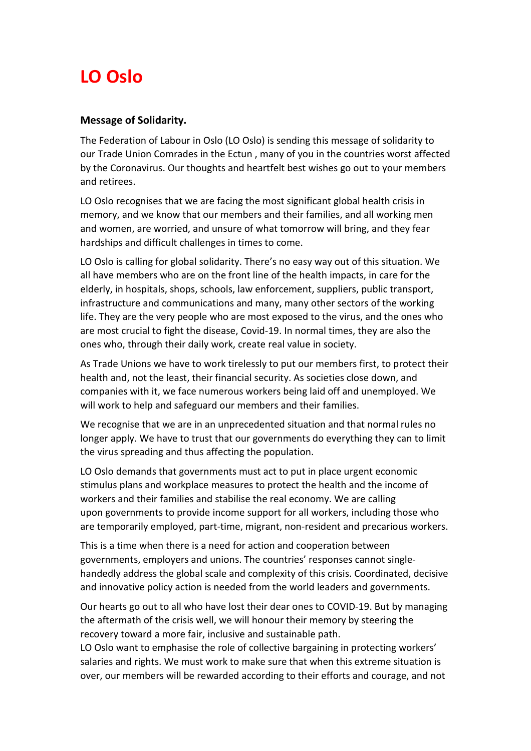## **LO Oslo**

## **Message of Solidarity.**

The Federation of Labour in Oslo (LO Oslo) is sending this message of solidarity to our Trade Union Comrades in the Ectun , many of you in the countries worst affected by the Coronavirus. Our thoughts and heartfelt best wishes go out to your members and retirees.

LO Oslo recognises that we are facing the most significant global health crisis in memory, and we know that our members and their families, and all working men and women, are worried, and unsure of what tomorrow will bring, and they fear hardships and difficult challenges in times to come.

LO Oslo is calling for global solidarity. There's no easy way out of this situation. We all have members who are on the front line of the health impacts, in care for the elderly, in hospitals, shops, schools, law enforcement, suppliers, public transport, infrastructure and communications and many, many other sectors of the working life. They are the very people who are most exposed to the virus, and the ones who are most crucial to fight the disease, Covid-19. In normal times, they are also the ones who, through their daily work, create real value in society.

As Trade Unions we have to work tirelessly to put our members first, to protect their health and, not the least, their financial security. As societies close down, and companies with it, we face numerous workers being laid off and unemployed. We will work to help and safeguard our members and their families.

We recognise that we are in an unprecedented situation and that normal rules no longer apply. We have to trust that our governments do everything they can to limit the virus spreading and thus affecting the population.

LO Oslo demands that governments must act to put in place urgent economic stimulus plans and workplace measures to protect the health and the income of workers and their families and stabilise the real economy. We are calling upon governments to provide income support for all workers, including those who are temporarily employed, part-time, migrant, non-resident and precarious workers.

This is a time when there is a need for action and cooperation between governments, employers and unions. The countries' responses cannot singlehandedly address the global scale and complexity of this crisis. Coordinated, decisive and innovative policy action is needed from the world leaders and governments.

Our hearts go out to all who have lost their dear ones to COVID-19. But by managing the aftermath of the crisis well, we will honour their memory by steering the recovery toward a more fair, inclusive and sustainable path.

LO Oslo want to emphasise the role of collective bargaining in protecting workers' salaries and rights. We must work to make sure that when this extreme situation is over, our members will be rewarded according to their efforts and courage, and not